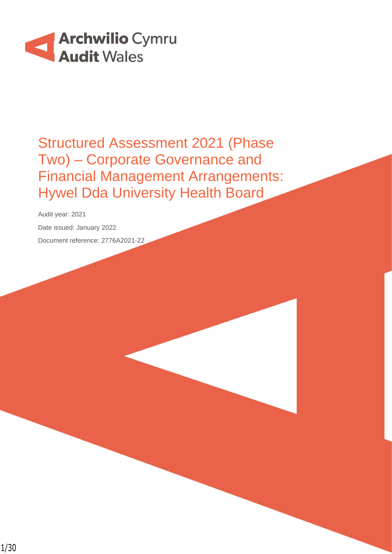

# Structured Assessment 2021 (Phase Two) – Corporate Governance and Financial Management Arrangements: Hywel Dda University Health Board

Audit year: 2021 Date issued: January 2022 Document reference: 2776A2021-22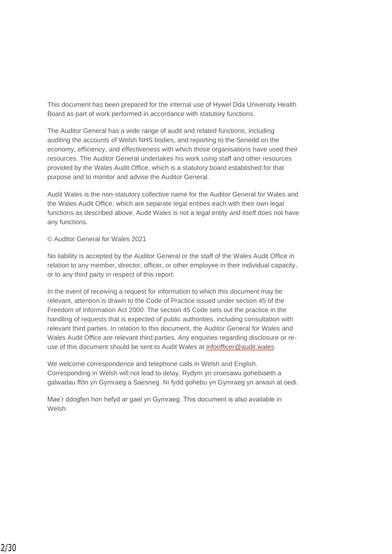This document has been prepared for the internal use of Hywel Dda University Health Board as part of work performed in accordance with statutory functions.

The Auditor General has a wide range of audit and related functions, including auditing the accounts of Welsh NHS bodies, and reporting to the Senedd on the economy, efficiency, and effectiveness with which those organisations have used their resources. The Auditor General undertakes his work using staff and other resources provided by the Wales Audit Office, which is a statutory board established for that purpose and to monitor and advise the Auditor General.

Audit Wales is the non-statutory collective name for the Auditor General for Wales and the Wales Audit Office, which are separate legal entities each with their own legal functions as described above. Audit Wales is not a legal entity and itself does not have any functions.

#### © Auditor General for Wales 2021

No liability is accepted by the Auditor General or the staff of the Wales Audit Office in relation to any member, director, officer, or other employee in their individual capacity, or to any third party in respect of this report.

In the event of receiving a request for information to which this document may be relevant, attention is drawn to the Code of Practice issued under section 45 of the Freedom of Information Act 2000. The section 45 Code sets out the practice in the handling of requests that is expected of public authorities, including consultation with relevant third parties. In relation to this document, the Auditor General for Wales and Wales Audit Office are relevant third parties. Any enquiries regarding disclosure or reuse of this document should be sent to Audit Wales at [infoofficer@audit.wales.](mailto:infoofficer@audit.wales)

We welcome correspondence and telephone calls in Welsh and English. Corresponding in Welsh will not lead to delay. Rydym yn croesawu gohebiaeth a galwadau ffôn yn Gymraeg a Saesneg. Ni fydd gohebu yn Gymraeg yn arwain at oedi.

Mae'r ddogfen hon hefyd ar gael yn Gymraeg. This document is also available in Welsh.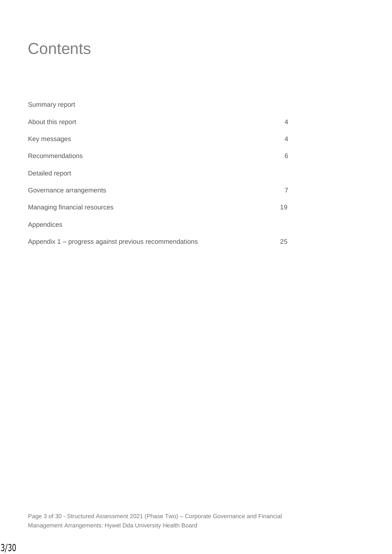# **Contents**

| Summary report                                         |    |
|--------------------------------------------------------|----|
| About this report                                      | 4  |
| Key messages                                           | 4  |
| Recommendations                                        | 6  |
| Detailed report                                        |    |
| Governance arrangements                                | 7  |
| Managing financial resources                           | 19 |
| Appendices                                             |    |
| Appendix 1 – progress against previous recommendations | 25 |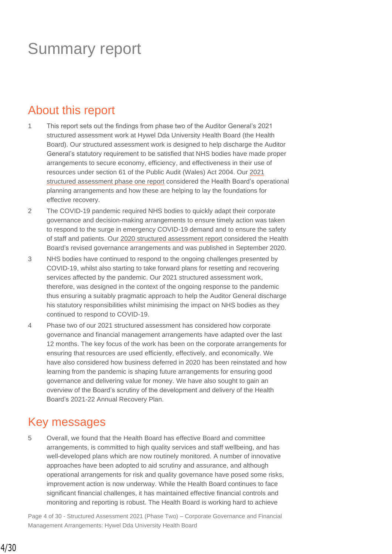# Summary report

# About this report

- 1 This report sets out the findings from phase two of the Auditor General's 2021 structured assessment work at Hywel Dda University Health Board (the Health Board). Our structured assessment work is designed to help discharge the Auditor General's statutory requirement to be satisfied that NHS bodies have made proper arrangements to secure economy, efficiency, and effectiveness in their use of resources under section 61 of the Public Audit (Wales) Act 2004. Our [2021](https://www.audit.wales/publication/hywel-dda-university-health-board-structured-assessment-2021-phase-1-operational)  [structured assessment phase one report](https://www.audit.wales/publication/hywel-dda-university-health-board-structured-assessment-2021-phase-1-operational) considered the Health Board's operational planning arrangements and how these are helping to lay the foundations for effective recovery.
- 2 The COVID-19 pandemic required NHS bodies to quickly adapt their corporate governance and decision-making arrangements to ensure timely action was taken to respond to the surge in emergency COVID-19 demand and to ensure the safety of staff and patients. Our [2020 structured assessment report](https://www.audit.wales/publication/hywel-dda-university-health-board-structured-assessment-2020) considered the Health Board's revised governance arrangements and was published in September 2020.
- 3 NHS bodies have continued to respond to the ongoing challenges presented by COVID-19, whilst also starting to take forward plans for resetting and recovering services affected by the pandemic. Our 2021 structured assessment work, therefore, was designed in the context of the ongoing response to the pandemic thus ensuring a suitably pragmatic approach to help the Auditor General discharge his statutory responsibilities whilst minimising the impact on NHS bodies as they continued to respond to COVID-19.
- 4 Phase two of our 2021 structured assessment has considered how corporate governance and financial management arrangements have adapted over the last 12 months. The key focus of the work has been on the corporate arrangements for ensuring that resources are used efficiently, effectively, and economically. We have also considered how business deferred in 2020 has been reinstated and how learning from the pandemic is shaping future arrangements for ensuring good governance and delivering value for money. We have also sought to gain an overview of the Board's scrutiny of the development and delivery of the Health Board's 2021-22 Annual Recovery Plan.

# Key messages

5 Overall, we found that the Health Board has effective Board and committee arrangements, is committed to high quality services and staff wellbeing, and has well-developed plans which are now routinely monitored. A number of innovative approaches have been adopted to aid scrutiny and assurance, and although operational arrangements for risk and quality governance have posed some risks, improvement action is now underway. While the Health Board continues to face significant financial challenges, it has maintained effective financial controls and monitoring and reporting is robust. The Health Board is working hard to achieve

Page 4 of 30 - Structured Assessment 2021 (Phase Two) – Corporate Governance and Financial Management Arrangements: Hywel Dda University Health Board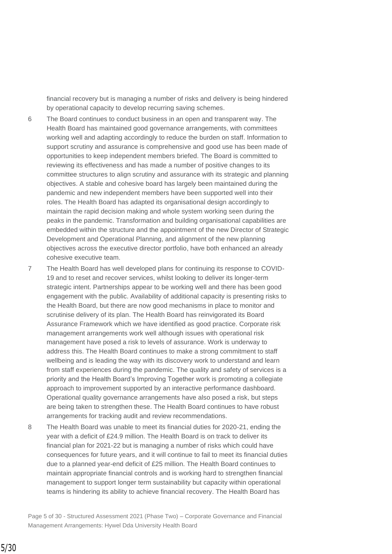financial recovery but is managing a number of risks and delivery is being hindered by operational capacity to develop recurring saving schemes.

- 6 The Board continues to conduct business in an open and transparent way. The Health Board has maintained good governance arrangements, with committees working well and adapting accordingly to reduce the burden on staff. Information to support scrutiny and assurance is comprehensive and good use has been made of opportunities to keep independent members briefed. The Board is committed to reviewing its effectiveness and has made a number of positive changes to its committee structures to align scrutiny and assurance with its strategic and planning objectives. A stable and cohesive board has largely been maintained during the pandemic and new independent members have been supported well into their roles. The Health Board has adapted its organisational design accordingly to maintain the rapid decision making and whole system working seen during the peaks in the pandemic. Transformation and building organisational capabilities are embedded within the structure and the appointment of the new Director of Strategic Development and Operational Planning, and alignment of the new planning objectives across the executive director portfolio, have both enhanced an already cohesive executive team.
- 7 The Health Board has well developed plans for continuing its response to COVID-19 and to reset and recover services, whilst looking to deliver its longer-term strategic intent. Partnerships appear to be working well and there has been good engagement with the public. Availability of additional capacity is presenting risks to the Health Board, but there are now good mechanisms in place to monitor and scrutinise delivery of its plan. The Health Board has reinvigorated its Board Assurance Framework which we have identified as good practice. Corporate risk management arrangements work well although issues with operational risk management have posed a risk to levels of assurance. Work is underway to address this. The Health Board continues to make a strong commitment to staff wellbeing and is leading the way with its discovery work to understand and learn from staff experiences during the pandemic. The quality and safety of services is a priority and the Health Board's Improving Together work is promoting a collegiate approach to improvement supported by an interactive performance dashboard. Operational quality governance arrangements have also posed a risk, but steps are being taken to strengthen these. The Health Board continues to have robust arrangements for tracking audit and review recommendations.
- 8 The Health Board was unable to meet its financial duties for 2020-21, ending the year with a deficit of £24.9 million. The Health Board is on track to deliver its financial plan for 2021-22 but is managing a number of risks which could have consequences for future years, and it will continue to fail to meet its financial duties due to a planned year-end deficit of £25 million. The Health Board continues to maintain appropriate financial controls and is working hard to strengthen financial management to support longer term sustainability but capacity within operational teams is hindering its ability to achieve financial recovery. The Health Board has

Page 5 of 30 - Structured Assessment 2021 (Phase Two) – Corporate Governance and Financial Management Arrangements: Hywel Dda University Health Board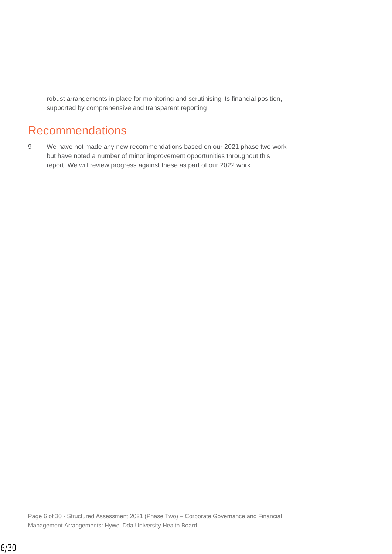robust arrangements in place for monitoring and scrutinising its financial position, supported by comprehensive and transparent reporting

# **Recommendations**

9 We have not made any new recommendations based on our 2021 phase two work but have noted a number of minor improvement opportunities throughout this report. We will review progress against these as part of our 2022 work.

Page 6 of 30 - Structured Assessment 2021 (Phase Two) – Corporate Governance and Financial Management Arrangements: Hywel Dda University Health Board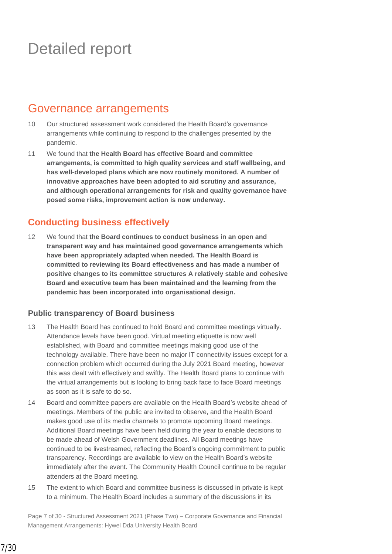# Detailed report

# Governance arrangements

- 10 Our structured assessment work considered the Health Board's governance arrangements while continuing to respond to the challenges presented by the pandemic.
- 11 We found that **the Health Board has effective Board and committee arrangements, is committed to high quality services and staff wellbeing, and has well-developed plans which are now routinely monitored. A number of innovative approaches have been adopted to aid scrutiny and assurance, and although operational arrangements for risk and quality governance have posed some risks, improvement action is now underway.**

## **Conducting business effectively**

12 We found that **the Board continues to conduct business in an open and transparent way and has maintained good governance arrangements which have been appropriately adapted when needed. The Health Board is committed to reviewing its Board effectiveness and has made a number of positive changes to its committee structures A relatively stable and cohesive Board and executive team has been maintained and the learning from the pandemic has been incorporated into organisational design.**

### **Public transparency of Board business**

- 13 The Health Board has continued to hold Board and committee meetings virtually. Attendance levels have been good. Virtual meeting etiquette is now well established, with Board and committee meetings making good use of the technology available. There have been no major IT connectivity issues except for a connection problem which occurred during the July 2021 Board meeting, however this was dealt with effectively and swiftly. The Health Board plans to continue with the virtual arrangements but is looking to bring back face to face Board meetings as soon as it is safe to do so.
- 14 Board and committee papers are available on the Health Board's website ahead of meetings. Members of the public are invited to observe, and the Health Board makes good use of its media channels to promote upcoming Board meetings. Additional Board meetings have been held during the year to enable decisions to be made ahead of Welsh Government deadlines. All Board meetings have continued to be livestreamed, reflecting the Board's ongoing commitment to public transparency. Recordings are available to view on the Health Board's website immediately after the event. The Community Health Council continue to be regular attenders at the Board meeting.
- 15 The extent to which Board and committee business is discussed in private is kept to a minimum. The Health Board includes a summary of the discussions in its

Page 7 of 30 - Structured Assessment 2021 (Phase Two) – Corporate Governance and Financial Management Arrangements: Hywel Dda University Health Board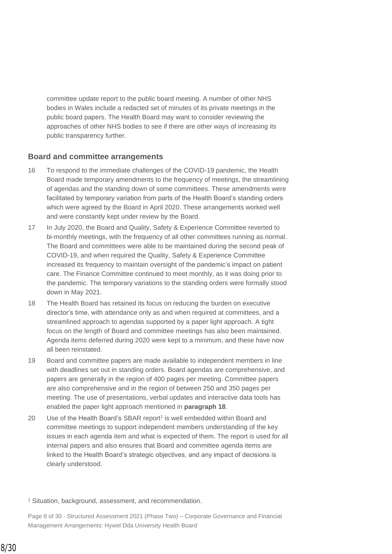committee update report to the public board meeting. A number of other NHS bodies in Wales include a redacted set of minutes of its private meetings in the public board papers. The Health Board may want to consider reviewing the approaches of other NHS bodies to see if there are other ways of increasing its public transparency further.

#### **Board and committee arrangements**

- 16 To respond to the immediate challenges of the COVID-19 pandemic, the Health Board made temporary amendments to the frequency of meetings, the streamlining of agendas and the standing down of some committees. These amendments were facilitated by temporary variation from parts of the Health Board's standing orders which were agreed by the Board in April 2020. These arrangements worked well and were constantly kept under review by the Board.
- 17 In July 2020, the Board and Quality, Safety & Experience Committee reverted to bi-monthly meetings, with the frequency of all other committees running as normal. The Board and committees were able to be maintained during the second peak of COVID-19, and when required the Quality, Safety & Experience Committee increased its frequency to maintain oversight of the pandemic's impact on patient care. The Finance Committee continued to meet monthly, as it was doing prior to the pandemic. The temporary variations to the standing orders were formally stood down in May 2021.
- 18 The Health Board has retained its focus on reducing the burden on executive director's time, with attendance only as and when required at committees, and a streamlined approach to agendas supported by a paper light approach. A tight focus on the length of Board and committee meetings has also been maintained. Agenda items deferred during 2020 were kept to a minimum, and these have now all been reinstated.
- 19 Board and committee papers are made available to independent members in line with deadlines set out in standing orders. Board agendas are comprehensive, and papers are generally in the region of 400 pages per meeting. Committee papers are also comprehensive and in the region of between 250 and 350 pages per meeting. The use of presentations, verbal updates and interactive data tools has enabled the paper light approach mentioned in **paragraph 18**.
- 20 Use of the Health Board's SBAR report<sup>1</sup> is well embedded within Board and committee meetings to support independent members understanding of the key issues in each agenda item and what is expected of them. The report is used for all internal papers and also ensures that Board and committee agenda items are linked to the Health Board's strategic objectives, and any impact of decisions is clearly understood.

<sup>1</sup> Situation, background, assessment, and recommendation.

Page 8 of 30 - Structured Assessment 2021 (Phase Two) – Corporate Governance and Financial Management Arrangements: Hywel Dda University Health Board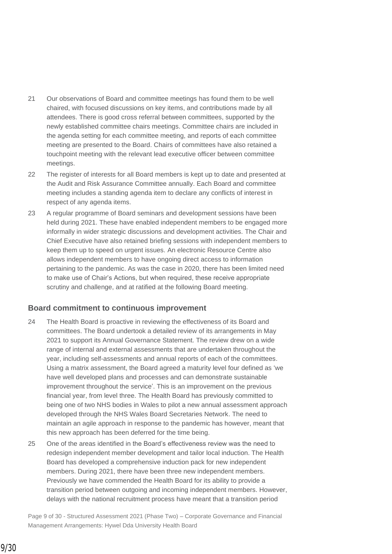- 21 Our observations of Board and committee meetings has found them to be well chaired, with focused discussions on key items, and contributions made by all attendees. There is good cross referral between committees, supported by the newly established committee chairs meetings. Committee chairs are included in the agenda setting for each committee meeting, and reports of each committee meeting are presented to the Board. Chairs of committees have also retained a touchpoint meeting with the relevant lead executive officer between committee meetings.
- 22 The register of interests for all Board members is kept up to date and presented at the Audit and Risk Assurance Committee annually. Each Board and committee meeting includes a standing agenda item to declare any conflicts of interest in respect of any agenda items.
- 23 A regular programme of Board seminars and development sessions have been held during 2021. These have enabled independent members to be engaged more informally in wider strategic discussions and development activities. The Chair and Chief Executive have also retained briefing sessions with independent members to keep them up to speed on urgent issues. An electronic Resource Centre also allows independent members to have ongoing direct access to information pertaining to the pandemic. As was the case in 2020, there has been limited need to make use of Chair's Actions, but when required, these receive appropriate scrutiny and challenge, and at ratified at the following Board meeting.

### **Board commitment to continuous improvement**

- 24 The Health Board is proactive in reviewing the effectiveness of its Board and committees. The Board undertook a detailed review of its arrangements in May 2021 to support its Annual Governance Statement. The review drew on a wide range of internal and external assessments that are undertaken throughout the year, including self-assessments and annual reports of each of the committees. Using a matrix assessment, the Board agreed a maturity level four defined as 'we have well developed plans and processes and can demonstrate sustainable improvement throughout the service'. This is an improvement on the previous financial year, from level three. The Health Board has previously committed to being one of two NHS bodies in Wales to pilot a new annual assessment approach developed through the NHS Wales Board Secretaries Network. The need to maintain an agile approach in response to the pandemic has however, meant that this new approach has been deferred for the time being.
- 25 One of the areas identified in the Board's effectiveness review was the need to redesign independent member development and tailor local induction. The Health Board has developed a comprehensive induction pack for new independent members. During 2021, there have been three new independent members. Previously we have commended the Health Board for its ability to provide a transition period between outgoing and incoming independent members. However, delays with the national recruitment process have meant that a transition period

Page 9 of 30 - Structured Assessment 2021 (Phase Two) – Corporate Governance and Financial Management Arrangements: Hywel Dda University Health Board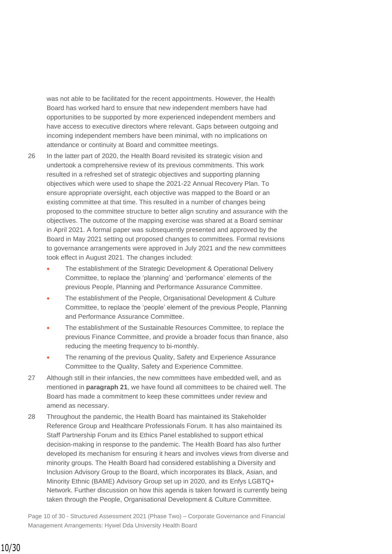was not able to be facilitated for the recent appointments. However, the Health Board has worked hard to ensure that new independent members have had opportunities to be supported by more experienced independent members and have access to executive directors where relevant. Gaps between outgoing and incoming independent members have been minimal, with no implications on attendance or continuity at Board and committee meetings.

- 26 In the latter part of 2020, the Health Board revisited its strategic vision and undertook a comprehensive review of its previous commitments. This work resulted in a refreshed set of strategic objectives and supporting planning objectives which were used to shape the 2021-22 Annual Recovery Plan. To ensure appropriate oversight, each objective was mapped to the Board or an existing committee at that time. This resulted in a number of changes being proposed to the committee structure to better align scrutiny and assurance with the objectives. The outcome of the mapping exercise was shared at a Board seminar in April 2021. A formal paper was subsequently presented and approved by the Board in May 2021 setting out proposed changes to committees. Formal revisions to governance arrangements were approved in July 2021 and the new committees took effect in August 2021. The changes included:
	- The establishment of the Strategic Development & Operational Delivery Committee, to replace the 'planning' and 'performance' elements of the previous People, Planning and Performance Assurance Committee.
	- The establishment of the People, Organisational Development & Culture Committee, to replace the 'people' element of the previous People, Planning and Performance Assurance Committee.
	- The establishment of the Sustainable Resources Committee, to replace the previous Finance Committee, and provide a broader focus than finance, also reducing the meeting frequency to bi-monthly.
	- The renaming of the previous Quality, Safety and Experience Assurance Committee to the Quality, Safety and Experience Committee.
- 27 Although still in their infancies, the new committees have embedded well, and as mentioned in **paragraph 21**, we have found all committees to be chaired well. The Board has made a commitment to keep these committees under review and amend as necessary.
- 28 Throughout the pandemic, the Health Board has maintained its Stakeholder Reference Group and Healthcare Professionals Forum. It has also maintained its Staff Partnership Forum and its Ethics Panel established to support ethical decision-making in response to the pandemic. The Health Board has also further developed its mechanism for ensuring it hears and involves views from diverse and minority groups. The Health Board had considered establishing a Diversity and Inclusion Advisory Group to the Board, which incorporates its Black, Asian, and Minority Ethnic (BAME) Advisory Group set up in 2020, and its Enfys LGBTQ+ Network. Further discussion on how this agenda is taken forward is currently being taken through the People, Organisational Development & Culture Committee.

Page 10 of 30 - Structured Assessment 2021 (Phase Two) – Corporate Governance and Financial Management Arrangements: Hywel Dda University Health Board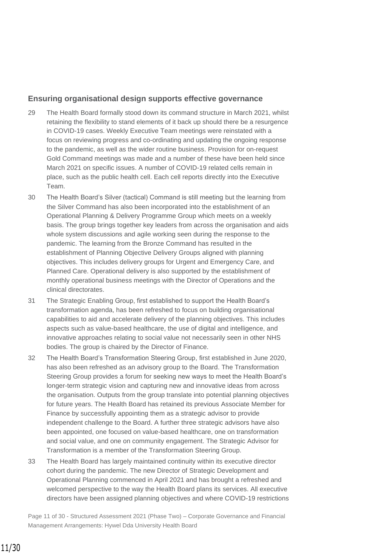### **Ensuring organisational design supports effective governance**

- 29 The Health Board formally stood down its command structure in March 2021, whilst retaining the flexibility to stand elements of it back up should there be a resurgence in COVID-19 cases. Weekly Executive Team meetings were reinstated with a focus on reviewing progress and co-ordinating and updating the ongoing response to the pandemic, as well as the wider routine business. Provision for on-request Gold Command meetings was made and a number of these have been held since March 2021 on specific issues. A number of COVID-19 related cells remain in place, such as the public health cell. Each cell reports directly into the Executive Team.
- 30 The Health Board's Silver (tactical) Command is still meeting but the learning from the Silver Command has also been incorporated into the establishment of an Operational Planning & Delivery Programme Group which meets on a weekly basis. The group brings together key leaders from across the organisation and aids whole system discussions and agile working seen during the response to the pandemic. The learning from the Bronze Command has resulted in the establishment of Planning Objective Delivery Groups aligned with planning objectives. This includes delivery groups for Urgent and Emergency Care, and Planned Care. Operational delivery is also supported by the establishment of monthly operational business meetings with the Director of Operations and the clinical directorates.
- 31 The Strategic Enabling Group, first established to support the Health Board's transformation agenda, has been refreshed to focus on building organisational capabilities to aid and accelerate delivery of the planning objectives. This includes aspects such as value-based healthcare, the use of digital and intelligence, and innovative approaches relating to social value not necessarily seen in other NHS bodies. The group is chaired by the Director of Finance.
- 32 The Health Board's Transformation Steering Group, first established in June 2020, has also been refreshed as an advisory group to the Board. The Transformation Steering Group provides a forum for seeking new ways to meet the Health Board's longer-term strategic vision and capturing new and innovative ideas from across the organisation. Outputs from the group translate into potential planning objectives for future years. The Health Board has retained its previous Associate Member for Finance by successfully appointing them as a strategic advisor to provide independent challenge to the Board. A further three strategic advisors have also been appointed, one focused on value-based healthcare, one on transformation and social value, and one on community engagement. The Strategic Advisor for Transformation is a member of the Transformation Steering Group.
- 33 The Health Board has largely maintained continuity within its executive director cohort during the pandemic. The new Director of Strategic Development and Operational Planning commenced in April 2021 and has brought a refreshed and welcomed perspective to the way the Health Board plans its services. All executive directors have been assigned planning objectives and where COVID-19 restrictions

Page 11 of 30 - Structured Assessment 2021 (Phase Two) – Corporate Governance and Financial Management Arrangements: Hywel Dda University Health Board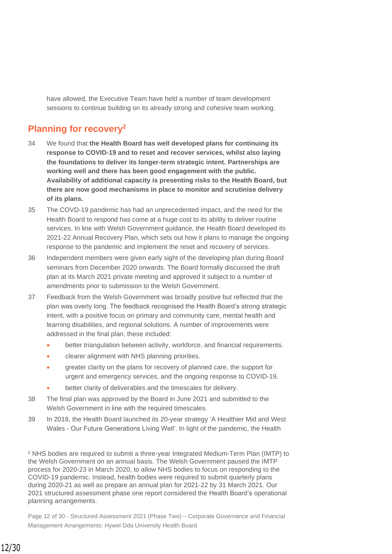have allowed, the Executive Team have held a number of team development sessions to continue building on its already strong and cohesive team working.

## **Planning for recovery<sup>2</sup>**

- 34 We found that **the Health Board has well developed plans for continuing its response to COVID-19 and to reset and recover services, whilst also laying the foundations to deliver its longer-term strategic intent. Partnerships are working well and there has been good engagement with the public. Availability of additional capacity is presenting risks to the Health Board, but there are now good mechanisms in place to monitor and scrutinise delivery of its plans.**
- 35 The COVD-19 pandemic has had an unprecedented impact, and the need for the Health Board to respond has come at a huge cost to its ability to deliver routine services. In line with Welsh Government guidance, the Health Board developed its 2021-22 Annual Recovery Plan, which sets out how it plans to manage the ongoing response to the pandemic and implement the reset and recovery of services.
- 36 Independent members were given early sight of the developing plan during Board seminars from December 2020 onwards. The Board formally discussed the draft plan at its March 2021 private meeting and approved it subject to a number of amendments prior to submission to the Welsh Government.
- 37 Feedback from the Welsh Government was broadly positive but reflected that the plan was overly long. The feedback recognised the Health Board's strong strategic intent, with a positive focus on primary and community care, mental health and learning disabilities, and regional solutions. A number of improvements were addressed in the final plan, these included:
	- better triangulation between activity, workforce, and financial requirements.
	- clearer alignment with NHS planning priorities.
	- greater clarity on the plans for recovery of planned care, the support for urgent and emergency services, and the ongoing response to COVID-19.
	- better clarity of deliverables and the timescales for delivery.
- 38 The final plan was approved by the Board in June 2021 and submitted to the Welsh Government in line with the required timescales.
- 39 In 2018, the Health Board launched its 20-year strategy 'A Healthier Mid and West Wales - Our Future Generations Living Well'. In light of the pandemic, the Health

<sup>2</sup> NHS bodies are required to submit a three-year Integrated Medium-Term Plan (IMTP) to the Welsh Government on an annual basis. The Welsh Government paused the IMTP process for 2020-23 in March 2020, to allow NHS bodies to focus on responding to the COVID-19 pandemic. Instead, health bodies were required to submit quarterly plans during 2020-21 as well as prepare an annual plan for 2021-22 by 31 March 2021. Our 2021 structured assessment phase one report considered the Health Board's operational planning arrangements.

Page 12 of 30 - Structured Assessment 2021 (Phase Two) – Corporate Governance and Financial Management Arrangements: Hywel Dda University Health Board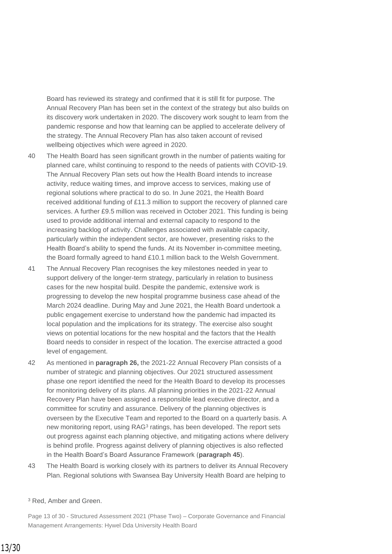Board has reviewed its strategy and confirmed that it is still fit for purpose. The Annual Recovery Plan has been set in the context of the strategy but also builds on its discovery work undertaken in 2020. The discovery work sought to learn from the pandemic response and how that learning can be applied to accelerate delivery of the strategy. The Annual Recovery Plan has also taken account of revised wellbeing objectives which were agreed in 2020.

- 40 The Health Board has seen significant growth in the number of patients waiting for planned care, whilst continuing to respond to the needs of patients with COVID-19. The Annual Recovery Plan sets out how the Health Board intends to increase activity, reduce waiting times, and improve access to services, making use of regional solutions where practical to do so. In June 2021, the Health Board received additional funding of £11.3 million to support the recovery of planned care services. A further £9.5 million was received in October 2021. This funding is being used to provide additional internal and external capacity to respond to the increasing backlog of activity. Challenges associated with available capacity, particularly within the independent sector, are however, presenting risks to the Health Board's ability to spend the funds. At its November in-committee meeting, the Board formally agreed to hand £10.1 million back to the Welsh Government.
- 41 The Annual Recovery Plan recognises the key milestones needed in year to support delivery of the longer-term strategy, particularly in relation to business cases for the new hospital build. Despite the pandemic, extensive work is progressing to develop the new hospital programme business case ahead of the March 2024 deadline. During May and June 2021, the Health Board undertook a public engagement exercise to understand how the pandemic had impacted its local population and the implications for its strategy. The exercise also sought views on potential locations for the new hospital and the factors that the Health Board needs to consider in respect of the location. The exercise attracted a good level of engagement.
- 42 As mentioned in **paragraph 26,** the 2021-22 Annual Recovery Plan consists of a number of strategic and planning objectives. Our 2021 structured assessment phase one report identified the need for the Health Board to develop its processes for monitoring delivery of its plans. All planning priorities in the 2021-22 Annual Recovery Plan have been assigned a responsible lead executive director, and a committee for scrutiny and assurance. Delivery of the planning objectives is overseen by the Executive Team and reported to the Board on a quarterly basis. A new monitoring report, using RAG<sup>3</sup> ratings, has been developed. The report sets out progress against each planning objective, and mitigating actions where delivery is behind profile. Progress against delivery of planning objectives is also reflected in the Health Board's Board Assurance Framework (**paragraph 45**).
- 43 The Health Board is working closely with its partners to deliver its Annual Recovery Plan. Regional solutions with Swansea Bay University Health Board are helping to

#### <sup>3</sup> Red, Amber and Green.

Page 13 of 30 - Structured Assessment 2021 (Phase Two) – Corporate Governance and Financial Management Arrangements: Hywel Dda University Health Board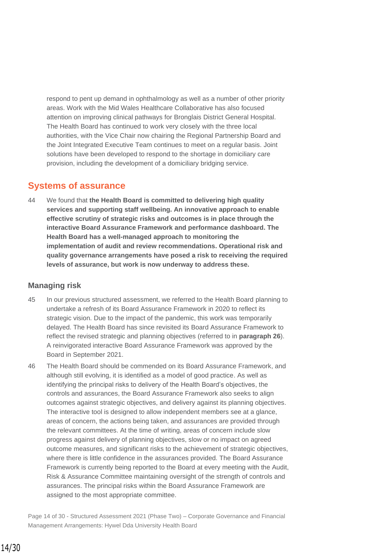respond to pent up demand in ophthalmology as well as a number of other priority areas. Work with the Mid Wales Healthcare Collaborative has also focused attention on improving clinical pathways for Bronglais District General Hospital. The Health Board has continued to work very closely with the three local authorities, with the Vice Chair now chairing the Regional Partnership Board and the Joint Integrated Executive Team continues to meet on a regular basis. Joint solutions have been developed to respond to the shortage in domiciliary care provision, including the development of a domiciliary bridging service.

## **Systems of assurance**

44 We found that **the Health Board is committed to delivering high quality services and supporting staff wellbeing. An innovative approach to enable effective scrutiny of strategic risks and outcomes is in place through the interactive Board Assurance Framework and performance dashboard. The Health Board has a well-managed approach to monitoring the implementation of audit and review recommendations. Operational risk and quality governance arrangements have posed a risk to receiving the required levels of assurance, but work is now underway to address these.**

## **Managing risk**

- 45 In our previous structured assessment, we referred to the Health Board planning to undertake a refresh of its Board Assurance Framework in 2020 to reflect its strategic vision. Due to the impact of the pandemic, this work was temporarily delayed. The Health Board has since revisited its Board Assurance Framework to reflect the revised strategic and planning objectives (referred to in **paragraph 26**). A reinvigorated interactive Board Assurance Framework was approved by the Board in September 2021.
- 46 The Health Board should be commended on its Board Assurance Framework, and although still evolving, it is identified as a model of good practice. As well as identifying the principal risks to delivery of the Health Board's objectives, the controls and assurances, the Board Assurance Framework also seeks to align outcomes against strategic objectives, and delivery against its planning objectives. The interactive tool is designed to allow independent members see at a glance, areas of concern, the actions being taken, and assurances are provided through the relevant committees. At the time of writing, areas of concern include slow progress against delivery of planning objectives, slow or no impact on agreed outcome measures, and significant risks to the achievement of strategic objectives, where there is little confidence in the assurances provided. The Board Assurance Framework is currently being reported to the Board at every meeting with the Audit, Risk & Assurance Committee maintaining oversight of the strength of controls and assurances. The principal risks within the Board Assurance Framework are assigned to the most appropriate committee.

Page 14 of 30 - Structured Assessment 2021 (Phase Two) – Corporate Governance and Financial Management Arrangements: Hywel Dda University Health Board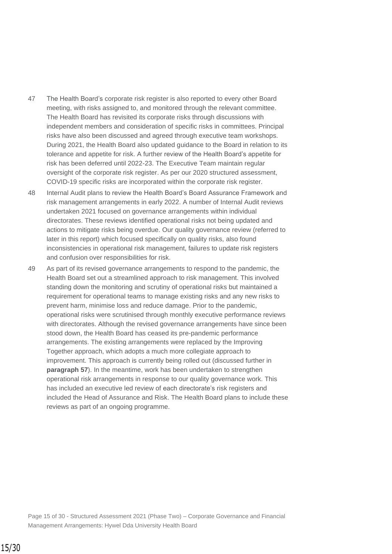- 47 The Health Board's corporate risk register is also reported to every other Board meeting, with risks assigned to, and monitored through the relevant committee. The Health Board has revisited its corporate risks through discussions with independent members and consideration of specific risks in committees. Principal risks have also been discussed and agreed through executive team workshops. During 2021, the Health Board also updated guidance to the Board in relation to its tolerance and appetite for risk. A further review of the Health Board's appetite for risk has been deferred until 2022-23. The Executive Team maintain regular oversight of the corporate risk register. As per our 2020 structured assessment, COVID-19 specific risks are incorporated within the corporate risk register.
- 48 Internal Audit plans to review the Health Board's Board Assurance Framework and risk management arrangements in early 2022. A number of Internal Audit reviews undertaken 2021 focused on governance arrangements within individual directorates. These reviews identified operational risks not being updated and actions to mitigate risks being overdue. Our quality governance review (referred to later in this report) which focused specifically on quality risks, also found inconsistencies in operational risk management, failures to update risk registers and confusion over responsibilities for risk.
- 49 As part of its revised governance arrangements to respond to the pandemic, the Health Board set out a streamlined approach to risk management. This involved standing down the monitoring and scrutiny of operational risks but maintained a requirement for operational teams to manage existing risks and any new risks to prevent harm, minimise loss and reduce damage. Prior to the pandemic, operational risks were scrutinised through monthly executive performance reviews with directorates. Although the revised governance arrangements have since been stood down, the Health Board has ceased its pre-pandemic performance arrangements. The existing arrangements were replaced by the Improving Together approach, which adopts a much more collegiate approach to improvement. This approach is currently being rolled out (discussed further in **paragraph 57**). In the meantime, work has been undertaken to strengthen operational risk arrangements in response to our quality governance work. This has included an executive led review of each directorate's risk registers and included the Head of Assurance and Risk. The Health Board plans to include these reviews as part of an ongoing programme.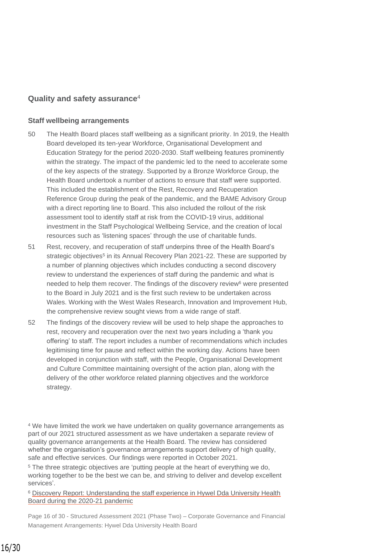### **Quality and safety assurance**<sup>4</sup>

#### **Staff wellbeing arrangements**

- 50 The Health Board places staff wellbeing as a significant priority. In 2019, the Health Board developed its ten-year Workforce, Organisational Development and Education Strategy for the period 2020-2030. Staff wellbeing features prominently within the strategy. The impact of the pandemic led to the need to accelerate some of the key aspects of the strategy. Supported by a Bronze Workforce Group, the Health Board undertook a number of actions to ensure that staff were supported. This included the establishment of the Rest, Recovery and Recuperation Reference Group during the peak of the pandemic, and the BAME Advisory Group with a direct reporting line to Board. This also included the rollout of the risk assessment tool to identify staff at risk from the COVID-19 virus, additional investment in the Staff Psychological Wellbeing Service, and the creation of local resources such as 'listening spaces' through the use of charitable funds.
- 51 Rest, recovery, and recuperation of staff underpins three of the Health Board's strategic objectives<sup>5</sup> in its Annual Recovery Plan 2021-22. These are supported by a number of planning objectives which includes conducting a second discovery review to understand the experiences of staff during the pandemic and what is needed to help them recover. The findings of the discovery review<sup>6</sup> were presented to the Board in July 2021 and is the first such review to be undertaken across Wales. Working with the West Wales Research, Innovation and Improvement Hub, the comprehensive review sought views from a wide range of staff.
- 52 The findings of the discovery review will be used to help shape the approaches to rest, recovery and recuperation over the next two years including a 'thank you offering' to staff. The report includes a number of recommendations which includes legitimising time for pause and reflect within the working day. Actions have been developed in conjunction with staff, with the People, Organisational Development and Culture Committee maintaining oversight of the action plan, along with the delivery of the other workforce related planning objectives and the workforce strategy.

<sup>4</sup> We have limited the work we have undertaken on quality governance arrangements as part of our 2021 structured assessment as we have undertaken a separate review of quality governance arrangements at the Health Board. The review has considered whether the organisation's governance arrangements support delivery of high quality, safe and effective services. Our findings were reported in October 2021.

<sup>5</sup> The three strategic objectives are 'putting people at the heart of everything we do, working together to be the best we can be, and striving to deliver and develop excellent services'.

<sup>6</sup> [Discovery Report: Understanding the staff experience in Hywel Dda University Health](https://hduhb.nhs.wales/about-us/your-health-board/board-meetings-2021/board-agenda-and-papers-30th-september-2021/agenda-and-papers-30th-september-2021/item-3-1-3-discovery-report-understanding-the-staff-experience-in-hdduhb-during-the-2020-21-pandemic/)  [Board during the 2020-21 pandemic](https://hduhb.nhs.wales/about-us/your-health-board/board-meetings-2021/board-agenda-and-papers-30th-september-2021/agenda-and-papers-30th-september-2021/item-3-1-3-discovery-report-understanding-the-staff-experience-in-hdduhb-during-the-2020-21-pandemic/)

Page 16 of 30 - Structured Assessment 2021 (Phase Two) – Corporate Governance and Financial Management Arrangements: Hywel Dda University Health Board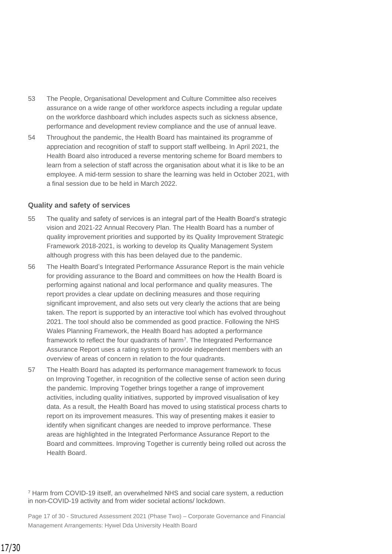- 53 The People, Organisational Development and Culture Committee also receives assurance on a wide range of other workforce aspects including a regular update on the workforce dashboard which includes aspects such as sickness absence, performance and development review compliance and the use of annual leave.
- 54 Throughout the pandemic, the Health Board has maintained its programme of appreciation and recognition of staff to support staff wellbeing. In April 2021, the Health Board also introduced a reverse mentoring scheme for Board members to learn from a selection of staff across the organisation about what it is like to be an employee. A mid-term session to share the learning was held in October 2021, with a final session due to be held in March 2022.

#### **Quality and safety of services**

- 55 The quality and safety of services is an integral part of the Health Board's strategic vision and 2021-22 Annual Recovery Plan. The Health Board has a number of quality improvement priorities and supported by its Quality Improvement Strategic Framework 2018-2021, is working to develop its Quality Management System although progress with this has been delayed due to the pandemic.
- 56 The Health Board's Integrated Performance Assurance Report is the main vehicle for providing assurance to the Board and committees on how the Health Board is performing against national and local performance and quality measures. The report provides a clear update on declining measures and those requiring significant improvement, and also sets out very clearly the actions that are being taken. The report is supported by an interactive tool which has evolved throughout 2021. The tool should also be commended as good practice. Following the NHS Wales Planning Framework, the Health Board has adopted a performance framework to reflect the four quadrants of harm<sup>7</sup>. The Integrated Performance Assurance Report uses a rating system to provide independent members with an overview of areas of concern in relation to the four quadrants.
- 57 The Health Board has adapted its performance management framework to focus on Improving Together, in recognition of the collective sense of action seen during the pandemic. Improving Together brings together a range of improvement activities, including quality initiatives, supported by improved visualisation of key data. As a result, the Health Board has moved to using statistical process charts to report on its improvement measures. This way of presenting makes it easier to identify when significant changes are needed to improve performance. These areas are highlighted in the Integrated Performance Assurance Report to the Board and committees. Improving Together is currently being rolled out across the Health Board.

<sup>7</sup> Harm from COVID-19 itself, an overwhelmed NHS and social care system, a reduction in non-COVID-19 activity and from wider societal actions/ lockdown.

Page 17 of 30 - Structured Assessment 2021 (Phase Two) – Corporate Governance and Financial Management Arrangements: Hywel Dda University Health Board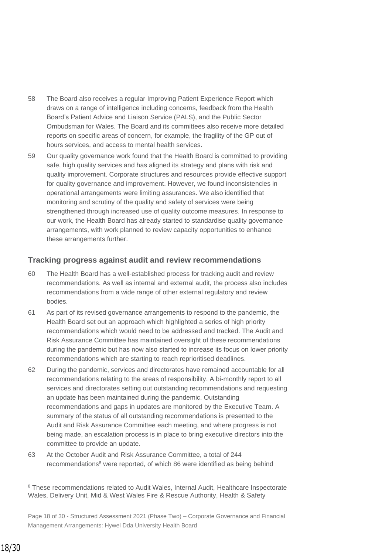- 58 The Board also receives a regular Improving Patient Experience Report which draws on a range of intelligence including concerns, feedback from the Health Board's Patient Advice and Liaison Service (PALS), and the Public Sector Ombudsman for Wales. The Board and its committees also receive more detailed reports on specific areas of concern, for example, the fragility of the GP out of hours services, and access to mental health services.
- 59 Our quality governance work found that the Health Board is committed to providing safe, high quality services and has aligned its strategy and plans with risk and quality improvement. Corporate structures and resources provide effective support for quality governance and improvement. However, we found inconsistencies in operational arrangements were limiting assurances. We also identified that monitoring and scrutiny of the quality and safety of services were being strengthened through increased use of quality outcome measures. In response to our work, the Health Board has already started to standardise quality governance arrangements, with work planned to review capacity opportunities to enhance these arrangements further.

#### **Tracking progress against audit and review recommendations**

- 60 The Health Board has a well-established process for tracking audit and review recommendations. As well as internal and external audit, the process also includes recommendations from a wide range of other external regulatory and review bodies.
- 61 As part of its revised governance arrangements to respond to the pandemic, the Health Board set out an approach which highlighted a series of high priority recommendations which would need to be addressed and tracked. The Audit and Risk Assurance Committee has maintained oversight of these recommendations during the pandemic but has now also started to increase its focus on lower priority recommendations which are starting to reach reprioritised deadlines.
- 62 During the pandemic, services and directorates have remained accountable for all recommendations relating to the areas of responsibility. A bi-monthly report to all services and directorates setting out outstanding recommendations and requesting an update has been maintained during the pandemic. Outstanding recommendations and gaps in updates are monitored by the Executive Team. A summary of the status of all outstanding recommendations is presented to the Audit and Risk Assurance Committee each meeting, and where progress is not being made, an escalation process is in place to bring executive directors into the committee to provide an update.
- 63 At the October Audit and Risk Assurance Committee, a total of 244 recommendations<sup>8</sup> were reported, of which 86 were identified as being behind

<sup>8</sup> These recommendations related to Audit Wales, Internal Audit, Healthcare Inspectorate Wales, Delivery Unit, Mid & West Wales Fire & Rescue Authority, Health & Safety

Page 18 of 30 - Structured Assessment 2021 (Phase Two) – Corporate Governance and Financial Management Arrangements: Hywel Dda University Health Board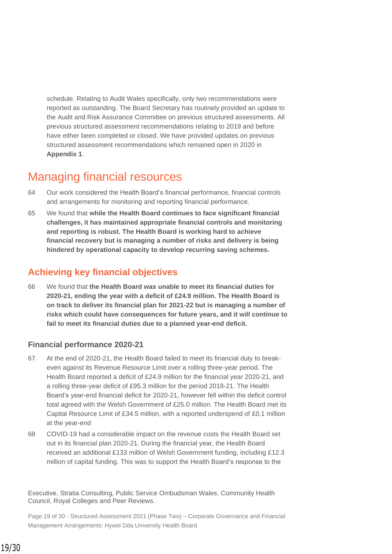schedule. Relating to Audit Wales specifically, only two recommendations were reported as outstanding. The Board Secretary has routinely provided an update to the Audit and Risk Assurance Committee on previous structured assessments. All previous structured assessment recommendations relating to 2019 and before have either been completed or closed. We have provided updates on previous structured assessment recommendations which remained open in 2020 in **Appendix 1**.

# Managing financial resources

- 64 Our work considered the Health Board's financial performance, financial controls and arrangements for monitoring and reporting financial performance.
- 65 We found that **while the Health Board continues to face significant financial challenges, it has maintained appropriate financial controls and monitoring and reporting is robust. The Health Board is working hard to achieve financial recovery but is managing a number of risks and delivery is being hindered by operational capacity to develop recurring saving schemes.**

# **Achieving key financial objectives**

66 We found that **the Health Board was unable to meet its financial duties for 2020-21, ending the year with a deficit of £24.9 million. The Health Board is on track to deliver its financial plan for 2021-22 but is managing a number of risks which could have consequences for future years, and it will continue to fail to meet its financial duties due to a planned year-end deficit.**

## **Financial performance 2020-21**

- 67 At the end of 2020-21, the Health Board failed to meet its financial duty to breakeven against its Revenue Resource Limit over a rolling three-year period. The Health Board reported a deficit of £24.9 million for the financial year 2020-21, and a rolling three-year deficit of £95.3 million for the period 2018-21. The Health Board's year-end financial deficit for 2020-21, however fell within the deficit control total agreed with the Welsh Government of £25.0 million. The Health Board met its Capital Resource Limit of £34.5 million, with a reported underspend of £0.1 million at the year-end
- 68 COVID-19 had a considerable impact on the revenue costs the Health Board set out in its financial plan 2020-21. During the financial year, the Health Board received an additional £133 million of Welsh Government funding, including £12.3 million of capital funding. This was to support the Health Board's response to the

Executive, Stratia Consulting, Public Service Ombudsman Wales, Community Health Council, Royal Colleges and Peer Reviews.

Page 19 of 30 - Structured Assessment 2021 (Phase Two) – Corporate Governance and Financial Management Arrangements: Hywel Dda University Health Board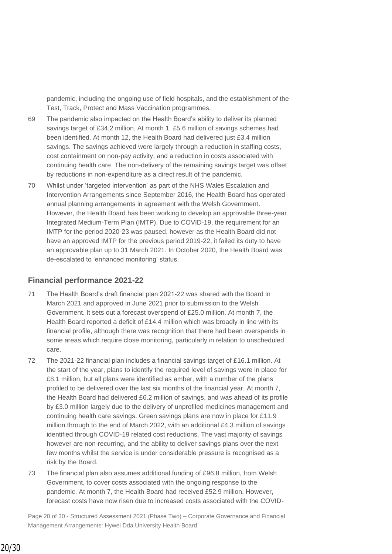pandemic, including the ongoing use of field hospitals, and the establishment of the Test, Track, Protect and Mass Vaccination programmes.

- 69 The pandemic also impacted on the Health Board's ability to deliver its planned savings target of £34.2 million. At month 1, £5.6 million of savings schemes had been identified. At month 12, the Health Board had delivered just £3.4 million savings. The savings achieved were largely through a reduction in staffing costs, cost containment on non-pay activity, and a reduction in costs associated with continuing health care. The non-delivery of the remaining savings target was offset by reductions in non-expenditure as a direct result of the pandemic.
- 70 Whilst under 'targeted intervention' as part of the NHS Wales Escalation and Intervention Arrangements since September 2016, the Health Board has operated annual planning arrangements in agreement with the Welsh Government. However, the Health Board has been working to develop an approvable three-year Integrated Medium-Term Plan (IMTP). Due to COVID-19, the requirement for an IMTP for the period 2020-23 was paused, however as the Health Board did not have an approved IMTP for the previous period 2019-22, it failed its duty to have an approvable plan up to 31 March 2021. In October 2020, the Health Board was de-escalated to 'enhanced monitoring' status.

#### **Financial performance 2021-22**

- 71 The Health Board's draft financial plan 2021-22 was shared with the Board in March 2021 and approved in June 2021 prior to submission to the Welsh Government. It sets out a forecast overspend of £25.0 million. At month 7, the Health Board reported a deficit of £14.4 million which was broadly in line with its financial profile, although there was recognition that there had been overspends in some areas which require close monitoring, particularly in relation to unscheduled care.
- 72 The 2021-22 financial plan includes a financial savings target of £16.1 million. At the start of the year, plans to identify the required level of savings were in place for £8.1 million, but all plans were identified as amber, with a number of the plans profiled to be delivered over the last six months of the financial year. At month 7, the Health Board had delivered £6.2 million of savings, and was ahead of its profile by £3.0 million largely due to the delivery of unprofiled medicines management and continuing health care savings. Green savings plans are now in place for £11.9 million through to the end of March 2022, with an additional £4.3 million of savings identified through COVID-19 related cost reductions. The vast majority of savings however are non-recurring, and the ability to deliver savings plans over the next few months whilst the service is under considerable pressure is recognised as a risk by the Board.
- 73 The financial plan also assumes additional funding of £96.8 million, from Welsh Government, to cover costs associated with the ongoing response to the pandemic. At month 7, the Health Board had received £52.9 million. However, forecast costs have now risen due to increased costs associated with the COVID-

Page 20 of 30 - Structured Assessment 2021 (Phase Two) – Corporate Governance and Financial Management Arrangements: Hywel Dda University Health Board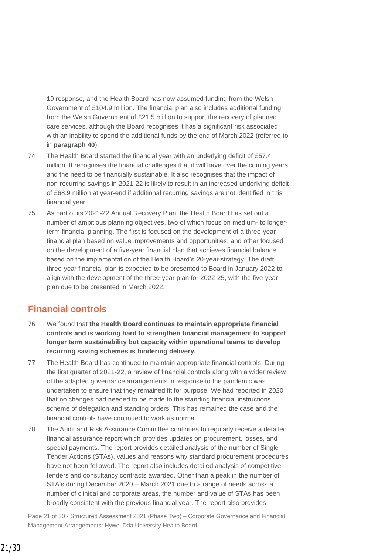19 response, and the Health Board has now assumed funding from the Welsh Government of £104.9 million. The financial plan also includes additional funding from the Welsh Government of £21.5 million to support the recovery of planned care services, although the Board recognises it has a significant risk associated with an inability to spend the additional funds by the end of March 2022 (referred to in **paragraph 40**).

- 74 The Health Board started the financial year with an underlying deficit of £57.4 million. It recognises the financial challenges that it will have over the coming years and the need to be financially sustainable. It also recognises that the impact of non-recurring savings in 2021-22 is likely to result in an increased underlying deficit of £68.9 million at year-end if additional recurring savings are not identified in this financial year.
- 75 As part of its 2021-22 Annual Recovery Plan, the Health Board has set out a number of ambitious planning objectives, two of which focus on medium- to longerterm financial planning. The first is focused on the development of a three-year financial plan based on value improvements and opportunities, and other focused on the development of a five-year financial plan that achieves financial balance based on the implementation of the Health Board's 20-year strategy. The draft three-year financial plan is expected to be presented to Board in January 2022 to align with the development of the three-year plan for 2022-25, with the five-year plan due to be presented in March 2022.

## **Financial controls**

- 76 We found that **the Health Board continues to maintain appropriate financial controls and is working hard to strengthen financial management to support longer term sustainability but capacity within operational teams to develop recurring saving schemes is hindering delivery.**
- 77 The Health Board has continued to maintain appropriate financial controls. During the first quarter of 2021-22, a review of financial controls along with a wider review of the adapted governance arrangements in response to the pandemic was undertaken to ensure that they remained fit for purpose. We had reported in 2020 that no changes had needed to be made to the standing financial instructions, scheme of delegation and standing orders. This has remained the case and the financial controls have continued to work as normal.
- 78 The Audit and Risk Assurance Committee continues to regularly receive a detailed financial assurance report which provides updates on procurement, losses, and special payments. The report provides detailed analysis of the number of Single Tender Actions (STAs), values and reasons why standard procurement procedures have not been followed. The report also includes detailed analysis of competitive tenders and consultancy contracts awarded. Other than a peak in the number of STA's during December 2020 – March 2021 due to a range of needs across a number of clinical and corporate areas, the number and value of STAs has been broadly consistent with the previous financial year. The report also provides

Page 21 of 30 - Structured Assessment 2021 (Phase Two) – Corporate Governance and Financial Management Arrangements: Hywel Dda University Health Board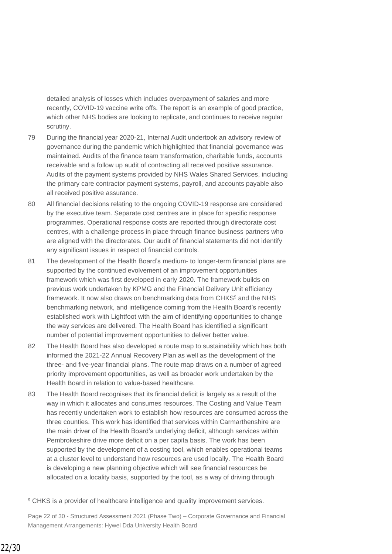detailed analysis of losses which includes overpayment of salaries and more recently, COVID-19 vaccine write offs. The report is an example of good practice, which other NHS bodies are looking to replicate, and continues to receive regular scrutiny.

- 79 During the financial year 2020-21, Internal Audit undertook an advisory review of governance during the pandemic which highlighted that financial governance was maintained. Audits of the finance team transformation, charitable funds, accounts receivable and a follow up audit of contracting all received positive assurance. Audits of the payment systems provided by NHS Wales Shared Services, including the primary care contractor payment systems, payroll, and accounts payable also all received positive assurance.
- 80 All financial decisions relating to the ongoing COVID-19 response are considered by the executive team. Separate cost centres are in place for specific response programmes. Operational response costs are reported through directorate cost centres, with a challenge process in place through finance business partners who are aligned with the directorates. Our audit of financial statements did not identify any significant issues in respect of financial controls.
- 81 The development of the Health Board's medium- to longer-term financial plans are supported by the continued evolvement of an improvement opportunities framework which was first developed in early 2020. The framework builds on previous work undertaken by KPMG and the Financial Delivery Unit efficiency framework. It now also draws on benchmarking data from CHKS<sup>9</sup> and the NHS benchmarking network, and intelligence coming from the Health Board's recently established work with Lightfoot with the aim of identifying opportunities to change the way services are delivered. The Health Board has identified a significant number of potential improvement opportunities to deliver better value.
- 82 The Health Board has also developed a route map to sustainability which has both informed the 2021-22 Annual Recovery Plan as well as the development of the three- and five-year financial plans. The route map draws on a number of agreed priority improvement opportunities, as well as broader work undertaken by the Health Board in relation to value-based healthcare.
- 83 The Health Board recognises that its financial deficit is largely as a result of the way in which it allocates and consumes resources. The Costing and Value Team has recently undertaken work to establish how resources are consumed across the three counties. This work has identified that services within Carmarthenshire are the main driver of the Health Board's underlying deficit, although services within Pembrokeshire drive more deficit on a per capita basis. The work has been supported by the development of a costing tool, which enables operational teams at a cluster level to understand how resources are used locally. The Health Board is developing a new planning objective which will see financial resources be allocated on a locality basis, supported by the tool, as a way of driving through
- <sup>9</sup> CHKS is a provider of healthcare intelligence and quality improvement services.

Page 22 of 30 - Structured Assessment 2021 (Phase Two) – Corporate Governance and Financial Management Arrangements: Hywel Dda University Health Board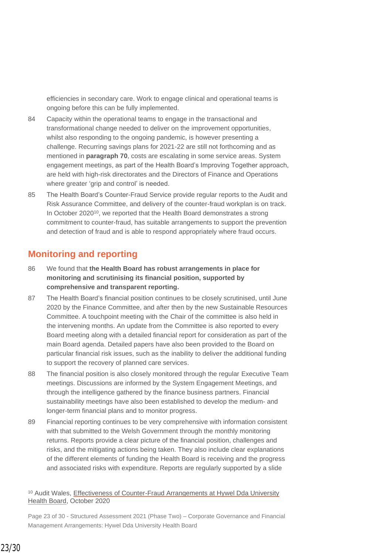efficiencies in secondary care. Work to engage clinical and operational teams is ongoing before this can be fully implemented.

- 84 Capacity within the operational teams to engage in the transactional and transformational change needed to deliver on the improvement opportunities, whilst also responding to the ongoing pandemic, is however presenting a challenge. Recurring savings plans for 2021-22 are still not forthcoming and as mentioned in **paragraph 70**, costs are escalating in some service areas. System engagement meetings, as part of the Health Board's Improving Together approach, are held with high-risk directorates and the Directors of Finance and Operations where greater 'grip and control' is needed.
- 85 The Health Board's Counter-Fraud Service provide regular reports to the Audit and Risk Assurance Committee, and delivery of the counter-fraud workplan is on track. In October 2020<sup>10</sup>, we reported that the Health Board demonstrates a strong commitment to counter-fraud, has suitable arrangements to support the prevention and detection of fraud and is able to respond appropriately where fraud occurs.

## **Monitoring and reporting**

- 86 We found that **the Health Board has robust arrangements in place for monitoring and scrutinising its financial position, supported by comprehensive and transparent reporting.**
- 87 The Health Board's financial position continues to be closely scrutinised, until June 2020 by the Finance Committee, and after then by the new Sustainable Resources Committee. A touchpoint meeting with the Chair of the committee is also held in the intervening months. An update from the Committee is also reported to every Board meeting along with a detailed financial report for consideration as part of the main Board agenda. Detailed papers have also been provided to the Board on particular financial risk issues, such as the inability to deliver the additional funding to support the recovery of planned care services.
- 88 The financial position is also closely monitored through the regular Executive Team meetings. Discussions are informed by the System Engagement Meetings, and through the intelligence gathered by the finance business partners. Financial sustainability meetings have also been established to develop the medium- and longer-term financial plans and to monitor progress.
- 89 Financial reporting continues to be very comprehensive with information consistent with that submitted to the Welsh Government through the monthly monitoring returns. Reports provide a clear picture of the financial position, challenges and risks, and the mitigating actions being taken. They also include clear explanations of the different elements of funding the Health Board is receiving and the progress and associated risks with expenditure. Reports are regularly supported by a slide

#### <sup>10</sup> Audit Wales, [Effectiveness of Counter-Fraud Arrangements at Hywel Dda University](https://www.audit.wales/publication/hywel-dda-university-health-board-effectiveness-counter-fraud-arrangements)  [Health Board,](https://www.audit.wales/publication/hywel-dda-university-health-board-effectiveness-counter-fraud-arrangements) October 2020

Page 23 of 30 - Structured Assessment 2021 (Phase Two) – Corporate Governance and Financial Management Arrangements: Hywel Dda University Health Board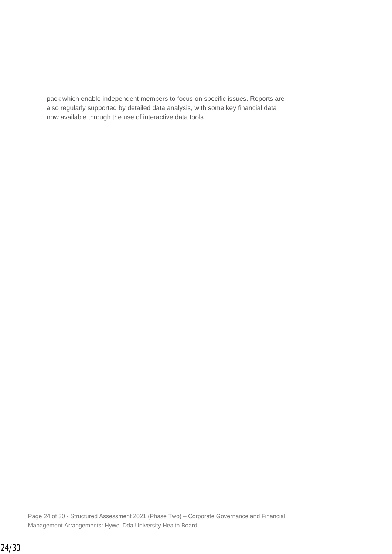pack which enable independent members to focus on specific issues. Reports are also regularly supported by detailed data analysis, with some key financial data now available through the use of interactive data tools.

Page 24 of 30 - Structured Assessment 2021 (Phase Two) – Corporate Governance and Financial Management Arrangements: Hywel Dda University Health Board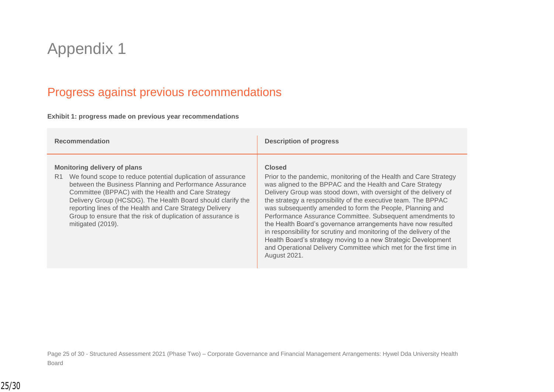# Appendix 1

# Progress against previous recommendations

**Exhibit 1: progress made on previous year recommendations**

| <b>Recommendation</b>                                                                                                                                                                                                                                                                                                                                                                                                                                  | <b>Description of progress</b>                                                                                                                                                                                                                                                                                                                                                                                                                                                                                                                                                                                                                                                                                        |
|--------------------------------------------------------------------------------------------------------------------------------------------------------------------------------------------------------------------------------------------------------------------------------------------------------------------------------------------------------------------------------------------------------------------------------------------------------|-----------------------------------------------------------------------------------------------------------------------------------------------------------------------------------------------------------------------------------------------------------------------------------------------------------------------------------------------------------------------------------------------------------------------------------------------------------------------------------------------------------------------------------------------------------------------------------------------------------------------------------------------------------------------------------------------------------------------|
| <b>Monitoring delivery of plans</b><br>We found scope to reduce potential duplication of assurance<br>R <sub>1</sub><br>between the Business Planning and Performance Assurance<br>Committee (BPPAC) with the Health and Care Strategy<br>Delivery Group (HCSDG). The Health Board should clarify the<br>reporting lines of the Health and Care Strategy Delivery<br>Group to ensure that the risk of duplication of assurance is<br>mitigated (2019). | <b>Closed</b><br>Prior to the pandemic, monitoring of the Health and Care Strategy<br>was aligned to the BPPAC and the Health and Care Strategy<br>Delivery Group was stood down, with oversight of the delivery of<br>the strategy a responsibility of the executive team. The BPPAC<br>was subsequently amended to form the People, Planning and<br>Performance Assurance Committee. Subsequent amendments to<br>the Health Board's governance arrangements have now resulted<br>in responsibility for scrutiny and monitoring of the delivery of the<br>Health Board's strategy moving to a new Strategic Development<br>and Operational Delivery Committee which met for the first time in<br><b>August 2021.</b> |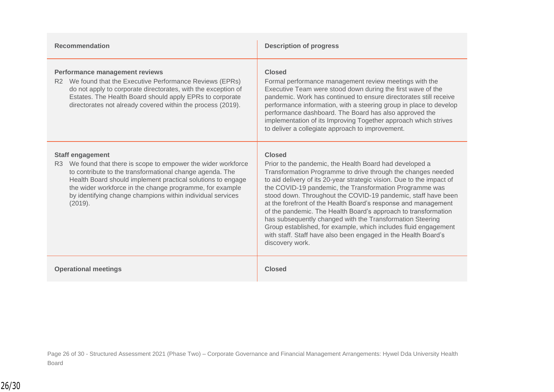| <b>Recommendation</b>                                                                                                                                                                                                                                                                                                                                                    | <b>Description of progress</b>                                                                                                                                                                                                                                                                                                                                                                                                                                                                                                                                                                                                                                                                         |
|--------------------------------------------------------------------------------------------------------------------------------------------------------------------------------------------------------------------------------------------------------------------------------------------------------------------------------------------------------------------------|--------------------------------------------------------------------------------------------------------------------------------------------------------------------------------------------------------------------------------------------------------------------------------------------------------------------------------------------------------------------------------------------------------------------------------------------------------------------------------------------------------------------------------------------------------------------------------------------------------------------------------------------------------------------------------------------------------|
| <b>Performance management reviews</b><br>R2 We found that the Executive Performance Reviews (EPRs)<br>do not apply to corporate directorates, with the exception of<br>Estates. The Health Board should apply EPRs to corporate<br>directorates not already covered within the process (2019).                                                                           | <b>Closed</b><br>Formal performance management review meetings with the<br>Executive Team were stood down during the first wave of the<br>pandemic. Work has continued to ensure directorates still receive<br>performance information, with a steering group in place to develop<br>performance dashboard. The Board has also approved the<br>implementation of its Improving Together approach which strives<br>to deliver a collegiate approach to improvement.                                                                                                                                                                                                                                     |
| <b>Staff engagement</b><br>We found that there is scope to empower the wider workforce<br>R <sub>3</sub><br>to contribute to the transformational change agenda. The<br>Health Board should implement practical solutions to engage<br>the wider workforce in the change programme, for example<br>by identifying change champions within individual services<br>(2019). | <b>Closed</b><br>Prior to the pandemic, the Health Board had developed a<br>Transformation Programme to drive through the changes needed<br>to aid delivery of its 20-year strategic vision. Due to the impact of<br>the COVID-19 pandemic, the Transformation Programme was<br>stood down. Throughout the COVID-19 pandemic, staff have been<br>at the forefront of the Health Board's response and management<br>of the pandemic. The Health Board's approach to transformation<br>has subsequently changed with the Transformation Steering<br>Group established, for example, which includes fluid engagement<br>with staff. Staff have also been engaged in the Health Board's<br>discovery work. |
| <b>Operational meetings</b>                                                                                                                                                                                                                                                                                                                                              | <b>Closed</b>                                                                                                                                                                                                                                                                                                                                                                                                                                                                                                                                                                                                                                                                                          |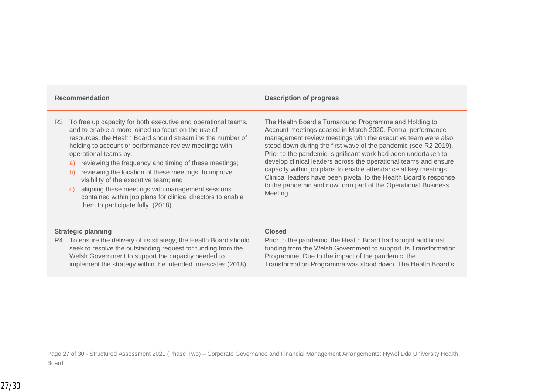| <b>Recommendation</b>                                                                                                                                                                                                                                                                                                                                                                                                                                                                                                                                                                                                                  | <b>Description of progress</b>                                                                                                                                                                                                                                                                                                                                                                                                                                                                                                                                                                                    |
|----------------------------------------------------------------------------------------------------------------------------------------------------------------------------------------------------------------------------------------------------------------------------------------------------------------------------------------------------------------------------------------------------------------------------------------------------------------------------------------------------------------------------------------------------------------------------------------------------------------------------------------|-------------------------------------------------------------------------------------------------------------------------------------------------------------------------------------------------------------------------------------------------------------------------------------------------------------------------------------------------------------------------------------------------------------------------------------------------------------------------------------------------------------------------------------------------------------------------------------------------------------------|
| To free up capacity for both executive and operational teams,<br>R <sub>3</sub><br>and to enable a more joined up focus on the use of<br>resources, the Health Board should streamline the number of<br>holding to account or performance review meetings with<br>operational teams by:<br>reviewing the frequency and timing of these meetings;<br>a)<br>reviewing the location of these meetings, to improve<br>b)<br>visibility of the executive team; and<br>aligning these meetings with management sessions<br>$\mathcal{C}$<br>contained within job plans for clinical directors to enable<br>them to participate fully. (2018) | The Health Board's Turnaround Programme and Holding to<br>Account meetings ceased in March 2020. Formal performance<br>management review meetings with the executive team were also<br>stood down during the first wave of the pandemic (see R2 2019).<br>Prior to the pandemic, significant work had been undertaken to<br>develop clinical leaders across the operational teams and ensure<br>capacity within job plans to enable attendance at key meetings.<br>Clinical leaders have been pivotal to the Health Board's response<br>to the pandemic and now form part of the Operational Business<br>Meeting. |
| <b>Strategic planning</b><br>R4 To ensure the delivery of its strategy, the Health Board should<br>seek to resolve the outstanding request for funding from the<br>Welsh Government to support the capacity needed to<br>implement the strategy within the intended timescales (2018).                                                                                                                                                                                                                                                                                                                                                 | <b>Closed</b><br>Prior to the pandemic, the Health Board had sought additional<br>funding from the Welsh Government to support its Transformation<br>Programme. Due to the impact of the pandemic, the<br>Transformation Programme was stood down. The Health Board's                                                                                                                                                                                                                                                                                                                                             |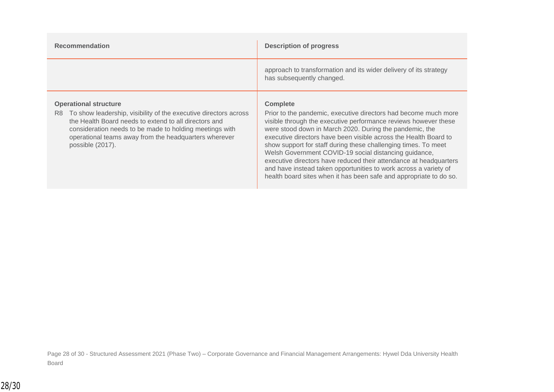| <b>Recommendation</b>                                                                                                                                                                                                                                                                                   | <b>Description of progress</b>                                                                                                                                                                                                                                                                                                                                                                                                                                                                                                                                                                                                 |
|---------------------------------------------------------------------------------------------------------------------------------------------------------------------------------------------------------------------------------------------------------------------------------------------------------|--------------------------------------------------------------------------------------------------------------------------------------------------------------------------------------------------------------------------------------------------------------------------------------------------------------------------------------------------------------------------------------------------------------------------------------------------------------------------------------------------------------------------------------------------------------------------------------------------------------------------------|
|                                                                                                                                                                                                                                                                                                         | approach to transformation and its wider delivery of its strategy<br>has subsequently changed.                                                                                                                                                                                                                                                                                                                                                                                                                                                                                                                                 |
| <b>Operational structure</b><br>To show leadership, visibility of the executive directors across<br>R8<br>the Health Board needs to extend to all directors and<br>consideration needs to be made to holding meetings with<br>operational teams away from the headquarters wherever<br>possible (2017). | <b>Complete</b><br>Prior to the pandemic, executive directors had become much more<br>visible through the executive performance reviews however these<br>were stood down in March 2020. During the pandemic, the<br>executive directors have been visible across the Health Board to<br>show support for staff during these challenging times. To meet<br>Welsh Government COVID-19 social distancing guidance,<br>executive directors have reduced their attendance at headquarters<br>and have instead taken opportunities to work across a variety of<br>health board sites when it has been safe and appropriate to do so. |